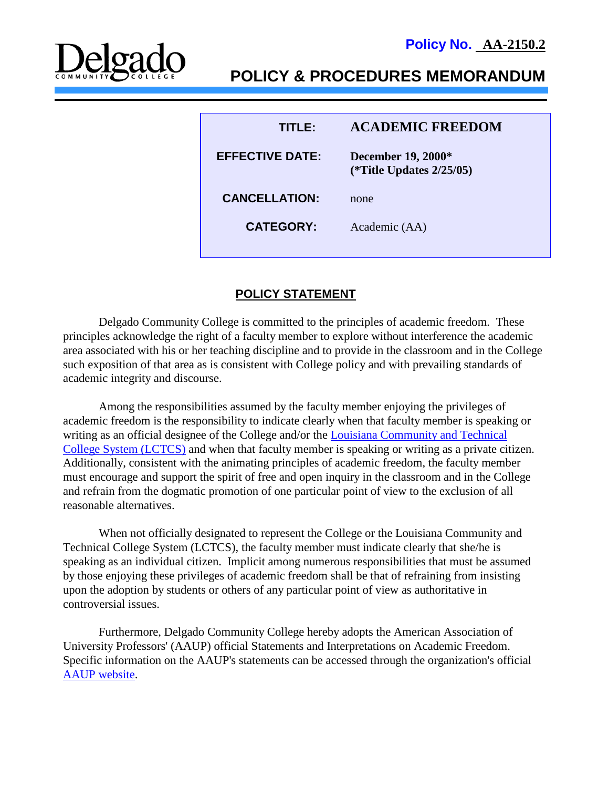



# **POLICY & PROCEDURES MEMORANDUM**

| TITLER                 | <b>ACADEMIC FREEDOM</b>                           |
|------------------------|---------------------------------------------------|
| <b>EFFECTIVE DATE:</b> | December 19, 2000*<br>(*Title Updates $2/25/05$ ) |
| <b>CANCELLATION:</b>   | none                                              |
| <b>CATEGORY:</b>       | Academic (AA)                                     |
|                        |                                                   |

## **POLICY STATEMENT**

Delgado Community College is committed to the principles of academic freedom. These principles acknowledge the right of a faculty member to explore without interference the academic area associated with his or her teaching discipline and to provide in the classroom and in the College such exposition of that area as is consistent with College policy and with prevailing standards of academic integrity and discourse.

Among the responsibilities assumed by the faculty member enjoying the privileges of academic freedom is the responsibility to indicate clearly when that faculty member is speaking or writing as an official designee of the College and/or the *Louisiana* Community and Technical [College System \(LCTCS\)](https://campussuite-storage.s3.amazonaws.com/prod/1558543/91b64910-2d2e-11e8-8c09-0a7155647e8a/1778017/00518a9c-584f-11e8-ad68-12be56b8d5f6/file/1038_Rights-Duties-and-Responsibilities-of-the-Academic-Staff_12052016.pdf) and when that faculty member is speaking or writing as a private citizen. Additionally, consistent with the animating principles of academic freedom, the faculty member must encourage and support the spirit of free and open inquiry in the classroom and in the College and refrain from the dogmatic promotion of one particular point of view to the exclusion of all reasonable alternatives.

When not officially designated to represent the College or the Louisiana Community and Technical College System (LCTCS), the faculty member must indicate clearly that she/he is speaking as an individual citizen. Implicit among numerous responsibilities that must be assumed by those enjoying these privileges of academic freedom shall be that of refraining from insisting upon the adoption by students or others of any particular point of view as authoritative in controversial issues.

Furthermore, Delgado Community College hereby adopts the American Association of University Professors' (AAUP) official Statements and Interpretations on Academic Freedom. Specific information on the AAUP's statements can be accessed through the organization's official [AAUP website.](https://www.aaup.org/)